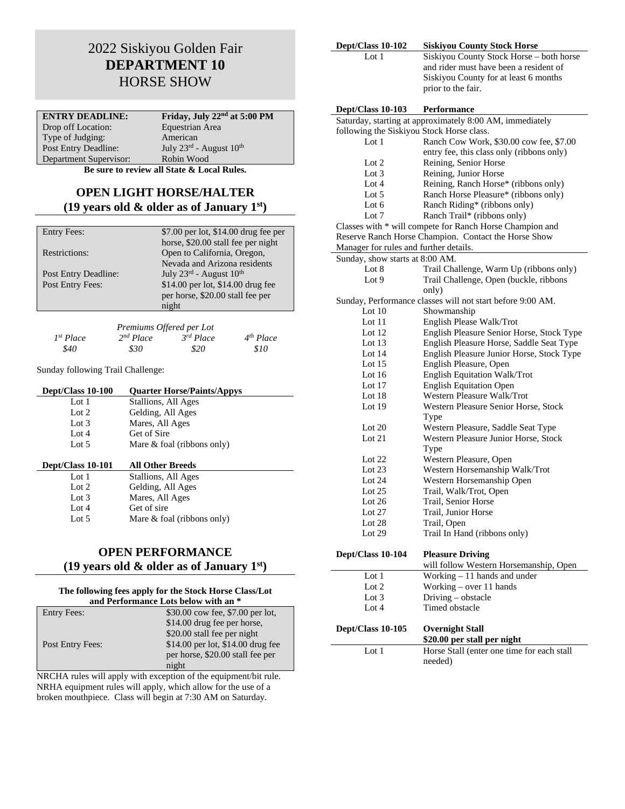# 2022 Siskiyou Golden Fair **DEPARTMENT 10** HORSE SHOW

| <b>ENTRY DEADLINE:</b>      | Friday, July 22 <sup>nd</sup> at 5:00 PM        |
|-----------------------------|-------------------------------------------------|
| Drop off Location:          | Equestrian Area                                 |
| Type of Judging:            | American                                        |
| <b>Post Entry Deadline:</b> | July $23^{\text{rd}}$ - August $10^{\text{th}}$ |
| Department Supervisor:      | Robin Wood                                      |
|                             |                                                 |

**Be sure to review all State & Local Rules.**

### **OPEN LIGHT HORSE/HALTER (19 years old & older as of January 1st)**

| <b>Entry Fees:</b>   | \$7.00 per lot, \$14.00 drug fee per            |
|----------------------|-------------------------------------------------|
|                      | horse, \$20.00 stall fee per night              |
| Restrictions:        | Open to California, Oregon,                     |
|                      | Nevada and Arizona residents                    |
| Post Entry Deadline: | July $23^{\text{rd}}$ - August $10^{\text{th}}$ |
| Post Entry Fees:     | \$14.00 per lot, \$14.00 drug fee               |
|                      | per horse, \$20.00 stall fee per                |
|                      | night                                           |

|                | Premiums Offered per Lot |                       |                       |
|----------------|--------------------------|-----------------------|-----------------------|
| $I^{st} Place$ | 2 <sup>nd</sup> Place    | 3 <sup>rd</sup> Place | 4 <sup>th</sup> Place |
| \$40           | \$30                     | \$20                  | \$10                  |

Sunday following Trail Challenge:

| Dept/Class 10-100 | <b>Quarter Horse/Paints/Appys</b> |
|-------------------|-----------------------------------|
| Lot $1$           | Stallions, All Ages               |
| Lot $2$           | Gelding, All Ages                 |
| Lot $3$           | Mares, All Ages                   |
| Lot $4$           | Get of Sire                       |
| Lot $5$           | Mare $&$ foal (ribbons only)      |
|                   |                                   |
| Dept/Class 10-101 | <b>All Other Breeds</b>           |
| Lot $1$           | Stallions, All Ages               |
| Lot $2$           | Gelding, All Ages                 |
| Lot $3$           | Mares, All Ages                   |

### **OPEN PERFORMANCE**

Lot 4 Get of sire<br>Lot 5 Mare & foa

#### **(19 years old & older as of January 1st)**

Mare & foal (ribbons only)

#### **The following fees apply for the Stock Horse Class/Lot**

| and Performance Lots below with an * |                                   |
|--------------------------------------|-----------------------------------|
| <b>Entry Fees:</b>                   | \$30.00 cow fee, \$7.00 per lot,  |
|                                      | \$14.00 drug fee per horse,       |
|                                      | \$20.00 stall fee per night       |
| Post Entry Fees:                     | \$14.00 per lot, \$14.00 drug fee |
|                                      | per horse, \$20.00 stall fee per  |
|                                      | night                             |

NRCHA rules will apply with exception of the equipment/bit rule. NRHA equipment rules will apply, which allow for the use of a broken mouthpiece. Class will begin at 7:30 AM on Saturday.

| Dept/Class 10-102                         | <b>Siskiyou County Stock Horse</b>                         |
|-------------------------------------------|------------------------------------------------------------|
| Lot $1$                                   | Siskiyou County Stock Horse - both horse                   |
|                                           | and rider must have been a resident of                     |
|                                           | Siskiyou County for at least 6 months                      |
|                                           | prior to the fair.                                         |
| Dept/Class 10-103                         | Performance                                                |
|                                           | Saturday, starting at approximately 8:00 AM, immediately   |
| following the Siskiyou Stock Horse class. |                                                            |
| Lot $1$                                   | Ranch Cow Work, \$30.00 cow fee, \$7.00                    |
|                                           | entry fee, this class only (ribbons only)                  |
| Lot 2                                     | Reining, Senior Horse                                      |
| Lot 3                                     | Reining, Junior Horse                                      |
| Lot $4$                                   | Reining, Ranch Horse* (ribbons only)                       |
| Lot $5$                                   | Ranch Horse Pleasure* (ribbons only)                       |
| Lot 6                                     | Ranch Riding* (ribbons only)                               |
| Lot 7                                     | Ranch Trail* (ribbons only)                                |
|                                           | Classes with * will compete for Ranch Horse Champion and   |
|                                           | Reserve Ranch Horse Champion. Contact the Horse Show       |
| Manager for rules and further details.    |                                                            |
| Sunday, show starts at 8:00 AM.           |                                                            |
| Lot 8                                     | Trail Challenge, Warm Up (ribbons only)                    |
| Lot 9                                     | Trail Challenge, Open (buckle, ribbons                     |
|                                           | only)                                                      |
|                                           | Sunday, Performance classes will not start before 9:00 AM. |
| Lot $10$                                  | Showmanship                                                |
| Lot $11$                                  | English Please Walk/Trot                                   |
| Lot 12                                    | English Pleasure Senior Horse, Stock Type                  |
| Lot 13                                    | English Pleasure Horse, Saddle Seat Type                   |
| Lot $14$                                  | English Pleasure Junior Horse, Stock Type                  |
| Lot $15$                                  | English Pleasure, Open<br>English Equitation Walk/Trot     |
| Lot 16<br>Lot $17$                        | <b>English Equitation Open</b>                             |
| Lot 18                                    | Western Pleasure Walk/Trot                                 |
| Lot $19$                                  | Western Pleasure Senior Horse, Stock                       |
|                                           | Type                                                       |
| Lot $20$                                  | Western Pleasure, Saddle Seat Type                         |
| Lot $21$                                  | Western Pleasure Junior Horse, Stock                       |
|                                           | Type                                                       |
| Lot $22$                                  | Western Pleasure, Open                                     |
| Lot $23$                                  | Western Horsemanship Walk/Trot                             |
| Lot $24$                                  | Western Horsemanship Open                                  |
| Lot $25$                                  | Trail, Walk/Trot, Open                                     |
| Lot 26                                    | Trail, Senior Horse                                        |
| Lot $27$                                  | Trail, Junior Horse                                        |
| Lot 28                                    | Trail, Open                                                |
| Lot $29$                                  | Trail In Hand (ribbons only)                               |
| Dept/Class 10-104                         | <b>Pleasure Driving</b>                                    |
|                                           | will follow Western Horsemanship, Open                     |
| Lot 1                                     | Working - 11 hands and under                               |
| Lot 2                                     | Working - over 11 hands                                    |
| Lot 3                                     | Driving - obstacle                                         |
| Lot 4                                     | Timed obstacle                                             |
|                                           |                                                            |
| Dept/Class 10-105                         | <b>Overnight Stall</b><br>\$20.00 per stall per night      |
| Lot 1                                     | Horse Stall (enter one time for each stall                 |
|                                           | needed)                                                    |